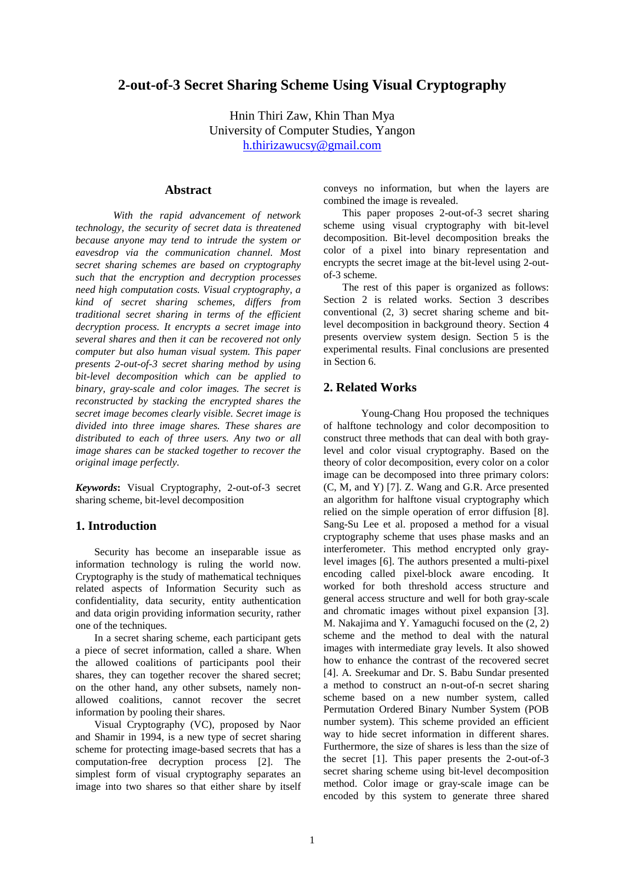# **2-out-of-3 Secret Sharing Scheme Using Visual Cryptography**

Hnin Thiri Zaw, Khin Than Mya University of Computer Studies, Yangon h.thirizawucsy@gmail.com

## **Abstract**

*With the rapid advancement of network technology, the security of secret data is threatened because anyone may tend to intrude the system or eavesdrop via the communication channel. Most secret sharing schemes are based on cryptography such that the encryption and decryption processes need high computation costs. Visual cryptography, a kind of secret sharing schemes, differs from traditional secret sharing in terms of the efficient decryption process. It encrypts a secret image into several shares and then it can be recovered not only computer but also human visual system. This paper presents 2-out-of-3 secret sharing method by using bit-level decomposition which can be applied to binary, gray-scale and color images. The secret is reconstructed by stacking the encrypted shares the secret image becomes clearly visible. Secret image is divided into three image shares. These shares are distributed to each of three users. Any two or all image shares can be stacked together to recover the original image perfectly.* 

*Keywords***:** Visual Cryptography, 2-out-of-3 secret sharing scheme, bit-level decomposition

### **1. Introduction**

Security has become an inseparable issue as information technology is ruling the world now. Cryptography is the study of mathematical techniques related aspects of Information Security such as confidentiality, data security, entity authentication and data origin providing information security, rather one of the techniques.

In a secret sharing scheme, each participant gets a piece of secret information, called a share. When the allowed coalitions of participants pool their shares, they can together recover the shared secret; on the other hand, any other subsets, namely nonallowed coalitions, cannot recover the secret information by pooling their shares.

Visual Cryptography (VC), proposed by Naor and Shamir in 1994, is a new type of secret sharing scheme for protecting image-based secrets that has a computation-free decryption process [2]. The simplest form of visual cryptography separates an image into two shares so that either share by itself

conveys no information, but when the layers are combined the image is revealed.

This paper proposes 2-out-of-3 secret sharing scheme using visual cryptography with bit-level decomposition. Bit-level decomposition breaks the color of a pixel into binary representation and encrypts the secret image at the bit-level using 2-outof-3 scheme.

The rest of this paper is organized as follows: Section 2 is related works. Section 3 describes conventional (2, 3) secret sharing scheme and bitlevel decomposition in background theory. Section 4 presents overview system design. Section 5 is the experimental results. Final conclusions are presented in Section 6.

## **2. Related Works**

Young-Chang Hou proposed the techniques of halftone technology and color decomposition to construct three methods that can deal with both graylevel and color visual cryptography. Based on the theory of color decomposition, every color on a color image can be decomposed into three primary colors: (C, M, and Y) [7]. Z. Wang and G.R. Arce presented an algorithm for halftone visual cryptography which relied on the simple operation of error diffusion [8]. Sang-Su Lee et al. proposed a method for a visual cryptography scheme that uses phase masks and an interferometer. This method encrypted only graylevel images [6]. The authors presented a multi-pixel encoding called pixel-block aware encoding. It worked for both threshold access structure and general access structure and well for both gray-scale and chromatic images without pixel expansion [3]. M. Nakajima and Y. Yamaguchi focused on the (2, 2) scheme and the method to deal with the natural images with intermediate gray levels. It also showed how to enhance the contrast of the recovered secret [4]. A. Sreekumar and Dr. S. Babu Sundar presented a method to construct an n-out-of-n secret sharing scheme based on a new number system, called Permutation Ordered Binary Number System (POB number system). This scheme provided an efficient way to hide secret information in different shares. Furthermore, the size of shares is less than the size of the secret [1]. This paper presents the 2-out-of-3 secret sharing scheme using bit-level decomposition method. Color image or gray-scale image can be encoded by this system to generate three shared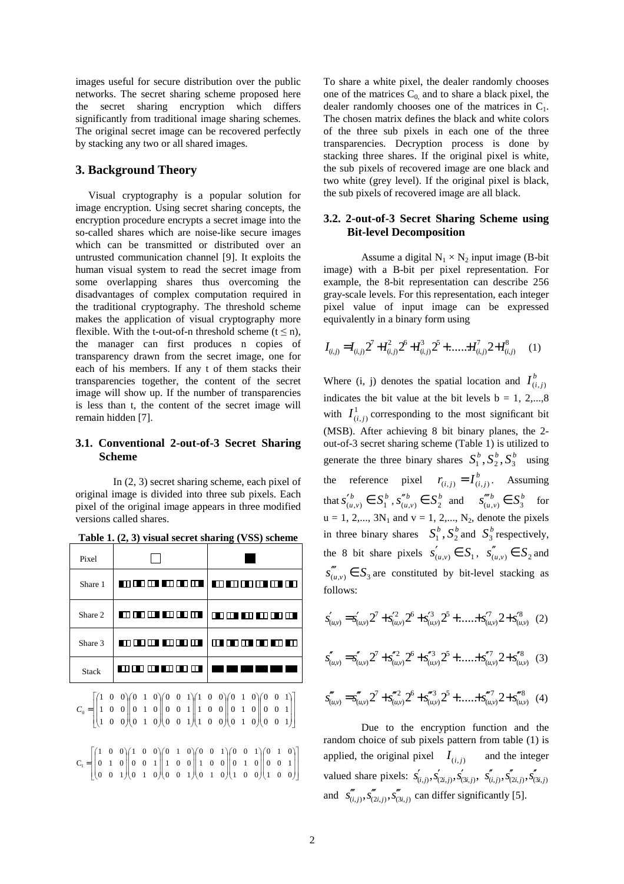images useful for secure distribution over the public networks. The secret sharing scheme proposed here the secret sharing encryption which differs significantly from traditional image sharing schemes. The original secret image can be recovered perfectly by stacking any two or all shared images.

#### **3. Background Theory**

Visual cryptography is a popular solution for image encryption. Using secret sharing concepts, the encryption procedure encrypts a secret image into the so-called shares which are noise-like secure images which can be transmitted or distributed over an untrusted communication channel [9]. It exploits the human visual system to read the secret image from some overlapping shares thus overcoming the disadvantages of complex computation required in the traditional cryptography. The threshold scheme makes the application of visual cryptography more flexible. With the t-out-of-n threshold scheme  $(t \le n)$ , the manager can first produces n copies of transparency drawn from the secret image, one for each of his members. If any t of them stacks their transparencies together, the content of the secret image will show up. If the number of transparencies is less than t, the content of the secret image will remain hidden [7].

#### **3.1. Conventional 2-out-of-3 Secret Sharing Scheme**

In (2, 3) secret sharing scheme, each pixel of original image is divided into three sub pixels. Each pixel of the original image appears in three modified versions called shares.

| Pixel        |                |                                              |
|--------------|----------------|----------------------------------------------|
| Share 1      |                | <u>na mara na mana an Tangan an an an an</u> |
| Share 2      | <u>n an I</u>  | <b>110 10 10 10 110</b>                      |
| Share 3      | mm m<br>mmm    | Ш<br>∎⊓<br>n m n<br>ПI                       |
| <b>Stack</b> | ПП⊓<br>Ш<br>H. |                                              |

**Table 1. (2, 3) visual secret sharing (VSS) scheme** 

 $\overline{\phantom{a}}$ J 1  $\parallel$ L Г  $\overline{\phantom{a}}$ J Ì  $\overline{\phantom{a}}$ l ſ  $\overline{\phantom{a}}$ J Ì  $\overline{\phantom{a}}$ l ſ  $\overline{\phantom{a}}$ J λ  $\overline{\phantom{a}}$ ∖ ſ  $\overline{\phantom{a}}$ J ℩  $\overline{\phantom{a}}$ l ſ  $\overline{\phantom{a}}$ J ℩  $\overline{\phantom{a}}$ l ſ  $\overline{\phantom{a}}$ J Ì  $\overline{\phantom{a}}$ l ſ = 0 0 1 0 0 1  $0 \t 0 \t 1$ 010 010 010 001 001 001 0 0 1 0 0 1  $0 \t 0 \t 1$ 010 010 010 001 001 001  $C^{\vphantom{\dagger}}_0$ 

 $\overline{\phantom{a}}$ J 1 L Г  $\overline{\phantom{a}}$ J ∖  $\overline{\phantom{a}}$ l ſ J ℩  $\overline{\phantom{a}}$ l ſ  $\overline{\phantom{a}}$ J Ι  $\overline{\phantom{a}}$ l ſ  $\overline{\phantom{a}}$ J ∖  $\overline{\phantom{a}}$ l ſ J ℩  $\overline{\phantom{a}}$ l ſ  $\overline{\phantom{a}}$ J Ι  $\overline{\phantom{a}}$ l ſ = 001 0 0 1 010 001 010  $0\quad 0\quad 1$ 010 001 0 0 1 0 0 1 001 010 010 100 001 0 0 1 010 001  $C_1 =$ 

To share a white pixel, the dealer randomly chooses one of the matrices  $C_0$  and to share a black pixel, the dealer randomly chooses one of the matrices in  $C_1$ . The chosen matrix defines the black and white colors of the three sub pixels in each one of the three transparencies. Decryption process is done by stacking three shares. If the original pixel is white, the sub pixels of recovered image are one black and two white (grey level). If the original pixel is black, the sub pixels of recovered image are all black.

#### **3.2. 2-out-of-3 Secret Sharing Scheme using Bit-level Decomposition**

Assume a digital  $N_1 \times N_2$  input image (B-bit image) with a B-bit per pixel representation. For example, the 8-bit representation can describe 256 gray-scale levels. For this representation, each integer pixel value of input image can be expressed equivalently in a binary form using

$$
I_{(i,j)} = I_{(i,j)} 2^7 + I_{(i,j)}^2 2^6 + I_{(i,j)}^3 2^5 + \dots + I_{(i,j)}^7 2 + I_{(i,j)}^8 \tag{1}
$$

Where (i, j) denotes the spatial location and  $I^b_{(i,j)}$ indicates the bit value at the bit levels  $b = 1, 2,...,8$ with  $I^1_{(i,j)}$  corresponding to the most significant bit (MSB). After achieving 8 bit binary planes, the 2 out-of-3 secret sharing scheme (Table 1) is utilized to generate the three binary shares  $S_1^b$ ,  $S_2^b$ ,  $S_3^b$  using the reference pixel  $r_{(i,j)} = I^b_{(i,j)}$ . Assuming that  $s'_{(u,v)}^b \in S_1^b$ ,  $s''_{(u,v)}^b \in S_2^b$  and  $s''_{(u,v)}^b \in S_3^b$  for  $u = 1, 2,..., 3N_1$  and  $v = 1, 2,..., N_2$ , denote the pixels in three binary shares  $S_1^b$ ,  $S_2^b$  and  $S_3^b$  respectively, the 8 bit share pixels  $s'_{(u,v)} \in S_1$ ,  $s''_{(u,v)} \in S_2$  and  $s'''(u,v) \in S_3$  are constituted by bit-level stacking as follows:

$$
s'_{(u,v)} = s'_{(u,v)} 2^7 + s'^2_{(u,v)} 2^6 + s'^3_{(u,v)} 2^5 + \dots + s'^3_{(u,v)} 2 + s'^8_{(u,v)} \quad (2)
$$

$$
s''_{(u,v)} = s''_{(u,v)} 2^7 + s''_{(u,v)} 2^6 + s''_{(u,v)} 2^5 + \dots + s''_{(u,v)} 2 + s''_{(u,v)} (3)
$$

$$
s''_{(u,v)} = s''_{(u,v)} 2^7 + s'''_{(u,v)} 2^6 + s'''_{(u,v)} 2^5 + \dots + s'''_{(u,v)} 2 + s'''_{(u,v)} \tag{4}
$$

 Due to the encryption function and the random choice of sub pixels pattern from table (1) is applied, the original pixel  $I_{(i,j)}$  and the integer valued share pixels:  $s'_{(i,j)}, s'_{(2i,j)}, s'_{(3i,j)}, s''_{(3i,j)}, s''_{(2i,j)}, s''_{(3i,j)}$ and  $s''_{(i,j)}, s'''_{(2i,j)}, s'''_{(3i,j)}$  can differ significantly [5].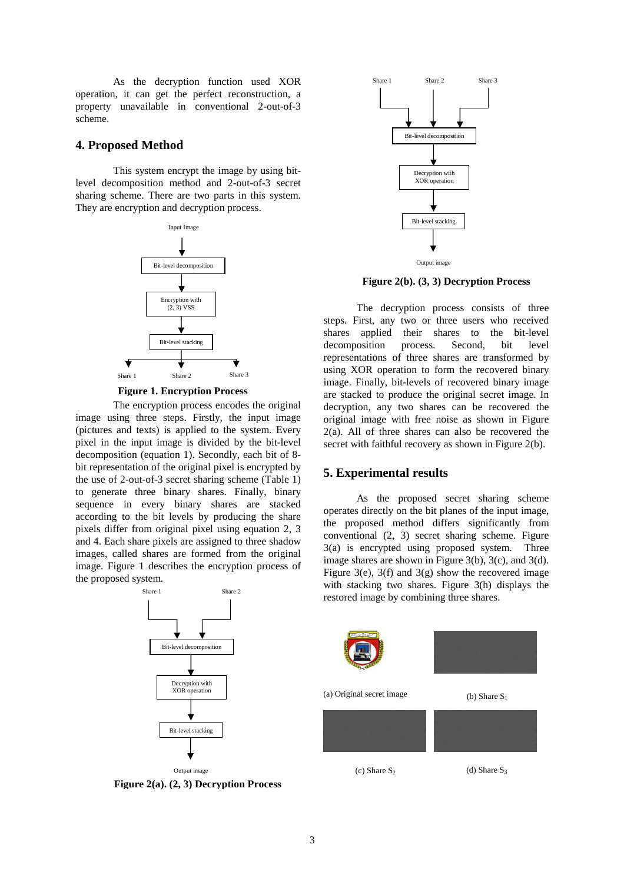As the decryption function used XOR operation, it can get the perfect reconstruction, a property unavailable in conventional 2-out-of-3 scheme.

#### **4. Proposed Method**

This system encrypt the image by using bitlevel decomposition method and 2-out-of-3 secret sharing scheme. There are two parts in this system. They are encryption and decryption process.



 **Figure 1. Encryption Process**

The encryption process encodes the original image using three steps. Firstly, the input image (pictures and texts) is applied to the system. Every pixel in the input image is divided by the bit-level decomposition (equation 1). Secondly, each bit of 8 bit representation of the original pixel is encrypted by the use of 2-out-of-3 secret sharing scheme (Table 1) to generate three binary shares. Finally, binary sequence in every binary shares are stacked according to the bit levels by producing the share pixels differ from original pixel using equation 2, 3 and 4. Each share pixels are assigned to three shadow images, called shares are formed from the original image. Figure 1 describes the encryption process of the proposed system.



**Figure 2(a). (2, 3) Decryption Process**



**Figure 2(b). (3, 3) Decryption Process**

The decryption process consists of three steps. First, any two or three users who received shares applied their shares to the bit-level decomposition process. Second, bit level representations of three shares are transformed by using XOR operation to form the recovered binary image. Finally, bit-levels of recovered binary image are stacked to produce the original secret image. In decryption, any two shares can be recovered the original image with free noise as shown in Figure 2(a). All of three shares can also be recovered the secret with faithful recovery as shown in Figure 2(b).

#### **5. Experimental results**

As the proposed secret sharing scheme operates directly on the bit planes of the input image, the proposed method differs significantly from conventional (2, 3) secret sharing scheme. Figure 3(a) is encrypted using proposed system. Three image shares are shown in Figure 3(b), 3(c), and 3(d). Figure 3(e), 3(f) and 3(g) show the recovered image with stacking two shares. Figure 3(h) displays the restored image by combining three shares.